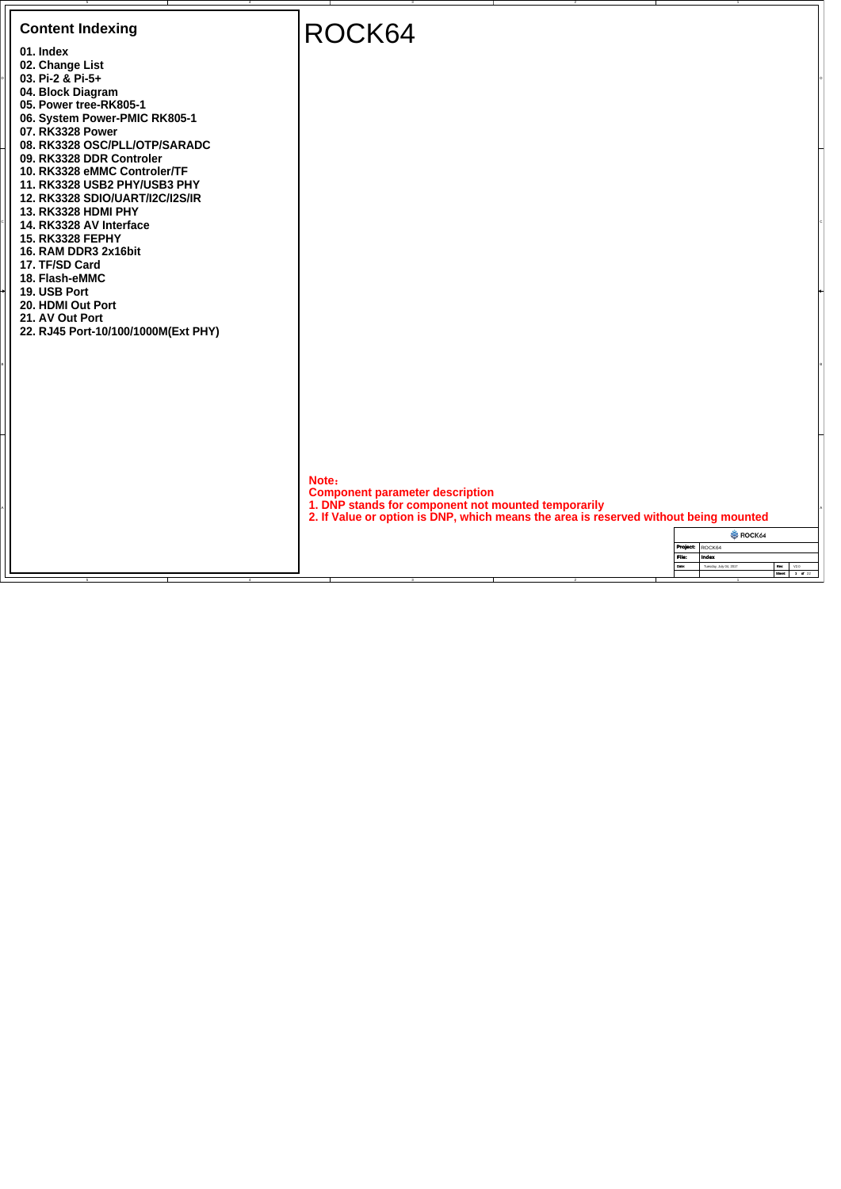| <b>Content Indexing</b>                                                                                                   | ROCK64                                                                                                                                                                                         |
|---------------------------------------------------------------------------------------------------------------------------|------------------------------------------------------------------------------------------------------------------------------------------------------------------------------------------------|
| 01. Index<br>02. Change List<br>03. Pi-2 & Pi-5+                                                                          |                                                                                                                                                                                                |
| 04. Block Diagram<br>05. Power tree-RK805-1<br>06. System Power-PMIC RK805-1<br>07. RK3328 Power                          |                                                                                                                                                                                                |
| 08. RK3328 OSC/PLL/OTP/SARADC<br>09. RK3328 DDR Controler<br>10. RK3328 eMMC Controler/TF<br>11. RK3328 USB2 PHY/USB3 PHY |                                                                                                                                                                                                |
| 12. RK3328 SDIO/UART/I2C/I2S/IR<br>13. RK3328 HDMI PHY<br>14. RK3328 AV Interface                                         |                                                                                                                                                                                                |
| <b>15. RK3328 FEPHY</b><br>16. RAM DDR3 2x16bit<br>17. TF/SD Card                                                         |                                                                                                                                                                                                |
| 18. Flash-eMMC<br>19. USB Port<br>20. HDMI Out Port<br>21. AV Out Port                                                    |                                                                                                                                                                                                |
| 22. RJ45 Port-10/100/1000M(Ext PHY)                                                                                       |                                                                                                                                                                                                |
|                                                                                                                           |                                                                                                                                                                                                |
|                                                                                                                           |                                                                                                                                                                                                |
|                                                                                                                           | Note:<br><b>Component parameter description</b><br>1. DNP stands for component not mounted temporarily<br>2. If Value or option is DNP, which means the area is reserved without being mounted |
|                                                                                                                           | ROCK64<br>Project: ROCK64<br>File:<br>Index<br>Tuesday, July 04, 2017<br>Date:                                                                                                                 |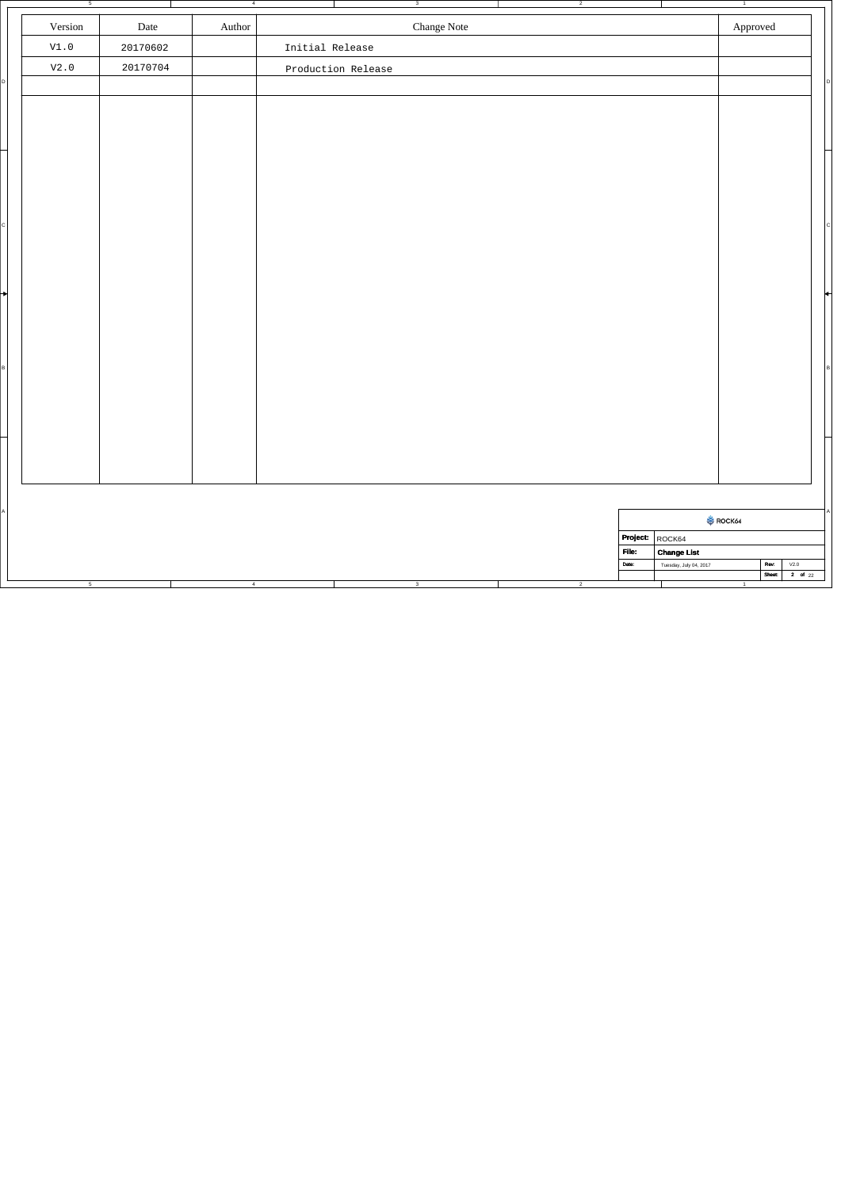|   | 5               |                          | $\overline{4}$ |                 |                    | 3                         | $\overline{2}$ |          |                        | $\overline{1}$        |                                  |             |
|---|-----------------|--------------------------|----------------|-----------------|--------------------|---------------------------|----------------|----------|------------------------|-----------------------|----------------------------------|-------------|
|   | Version         | Date                     | Author         |                 |                    | Change Note               |                |          |                        | ${\Large\bf\large A}$ |                                  |             |
|   | $\mathtt{V1.0}$ | 20170602                 |                | Initial Release |                    |                           |                |          |                        |                       |                                  |             |
|   | $\mathtt{V2.0}$ | 20170704                 |                |                 | Production Release |                           |                |          |                        |                       |                                  |             |
| D |                 |                          |                |                 |                    |                           |                |          |                        |                       |                                  | D           |
|   |                 |                          |                |                 |                    |                           |                |          |                        |                       |                                  |             |
|   |                 |                          |                |                 |                    |                           |                |          |                        |                       |                                  |             |
|   |                 |                          |                |                 |                    |                           |                |          |                        |                       |                                  |             |
|   |                 |                          |                |                 |                    |                           |                |          |                        |                       |                                  |             |
|   |                 |                          |                |                 |                    |                           |                |          |                        |                       |                                  |             |
|   |                 |                          |                |                 |                    |                           |                |          |                        |                       |                                  |             |
| c |                 |                          |                |                 |                    |                           |                |          |                        |                       |                                  |             |
|   |                 |                          |                |                 |                    |                           |                |          |                        |                       |                                  |             |
|   |                 |                          |                |                 |                    |                           |                |          |                        |                       |                                  |             |
| ┪ |                 |                          |                |                 |                    |                           |                |          |                        |                       |                                  |             |
|   |                 |                          |                |                 |                    |                           |                |          |                        |                       |                                  |             |
|   |                 |                          |                |                 |                    |                           |                |          |                        |                       |                                  |             |
| в |                 |                          |                |                 |                    |                           |                |          |                        |                       |                                  |             |
|   |                 |                          |                |                 |                    |                           |                |          |                        |                       |                                  |             |
|   |                 |                          |                |                 |                    |                           |                |          |                        |                       |                                  |             |
|   |                 |                          |                |                 |                    |                           |                |          |                        |                       |                                  |             |
|   |                 |                          |                |                 |                    |                           |                |          |                        |                       |                                  |             |
|   |                 |                          |                |                 |                    |                           |                |          |                        |                       |                                  |             |
|   |                 |                          |                |                 |                    |                           |                |          |                        |                       |                                  |             |
| A |                 |                          |                |                 |                    |                           |                |          |                        |                       |                                  |             |
|   |                 |                          |                |                 |                    |                           |                | Project: | ROCK64                 | ROCK64                |                                  |             |
|   |                 |                          |                |                 |                    |                           |                | File:    | <b>Change List</b>     |                       |                                  |             |
|   |                 |                          |                |                 |                    |                           |                | Date:    | Tuesday, July 04, 2017 |                       | $\mathsf{V2.0}$<br>Rev:<br>Sheet | $2$ of $22$ |
|   | 5               | <b>Contract Contract</b> | $-4$           |                 | the control of the | $\overline{\phantom{a}3}$ | $\overline{2}$ |          |                        | $\overline{1}$        |                                  |             |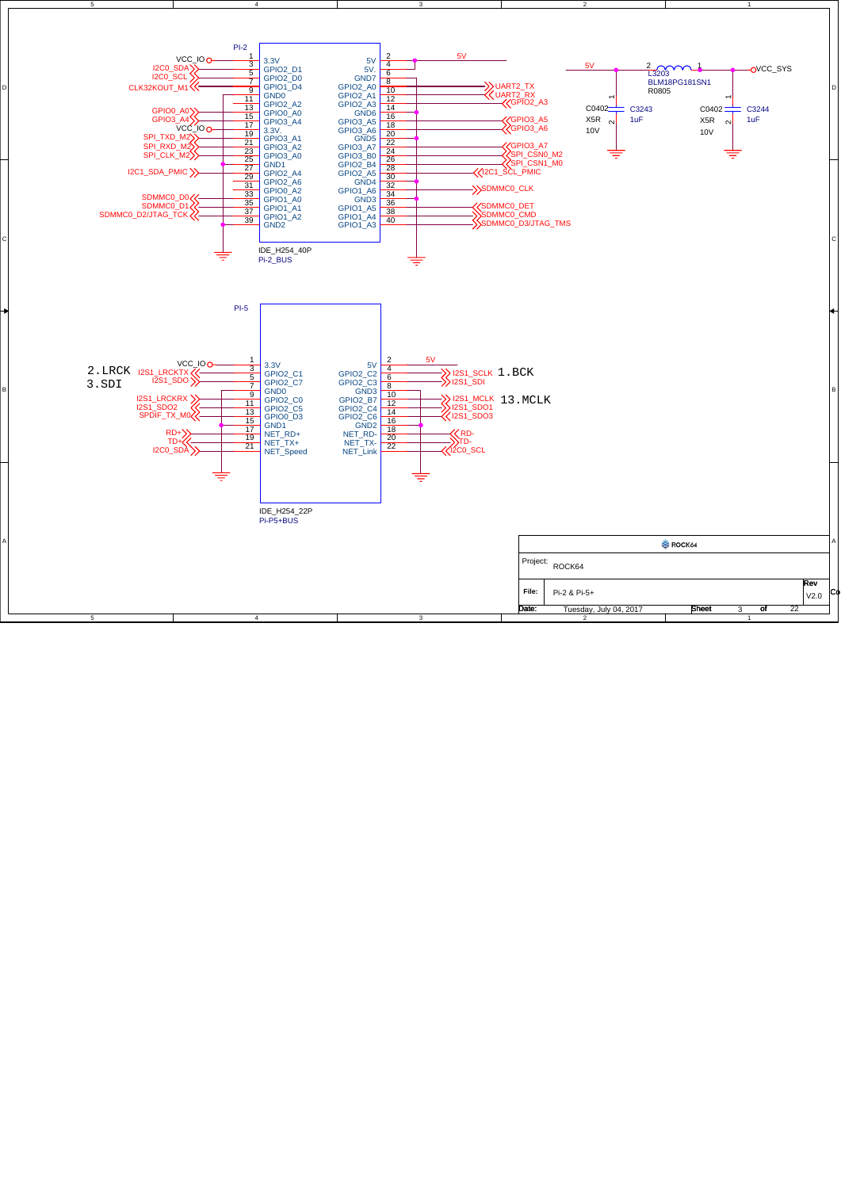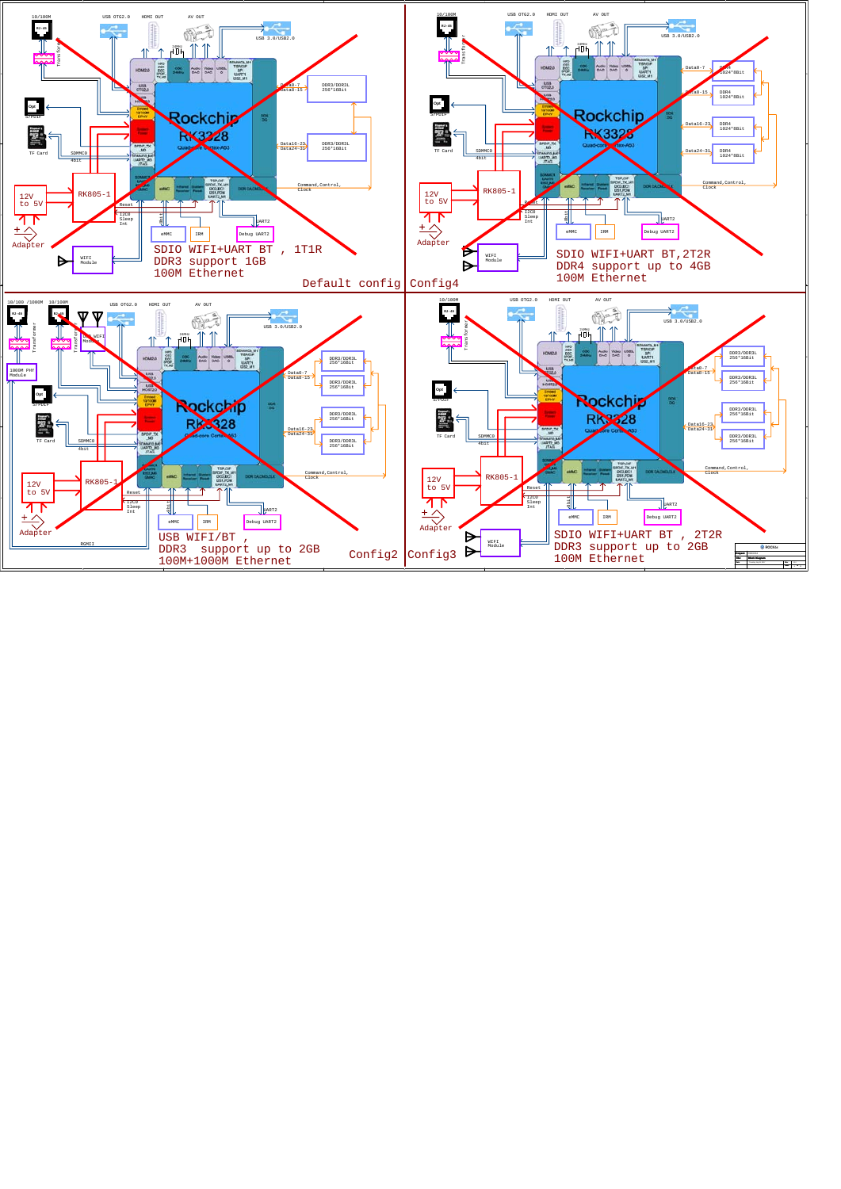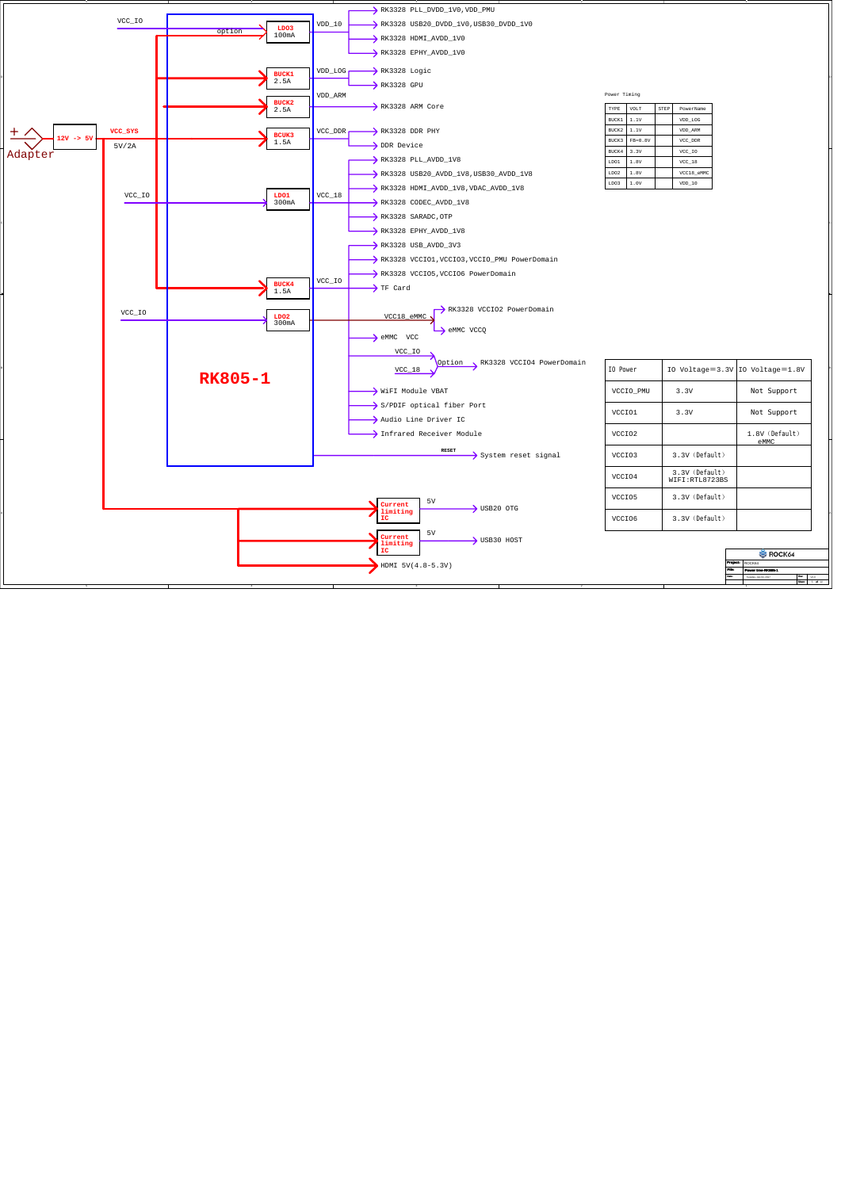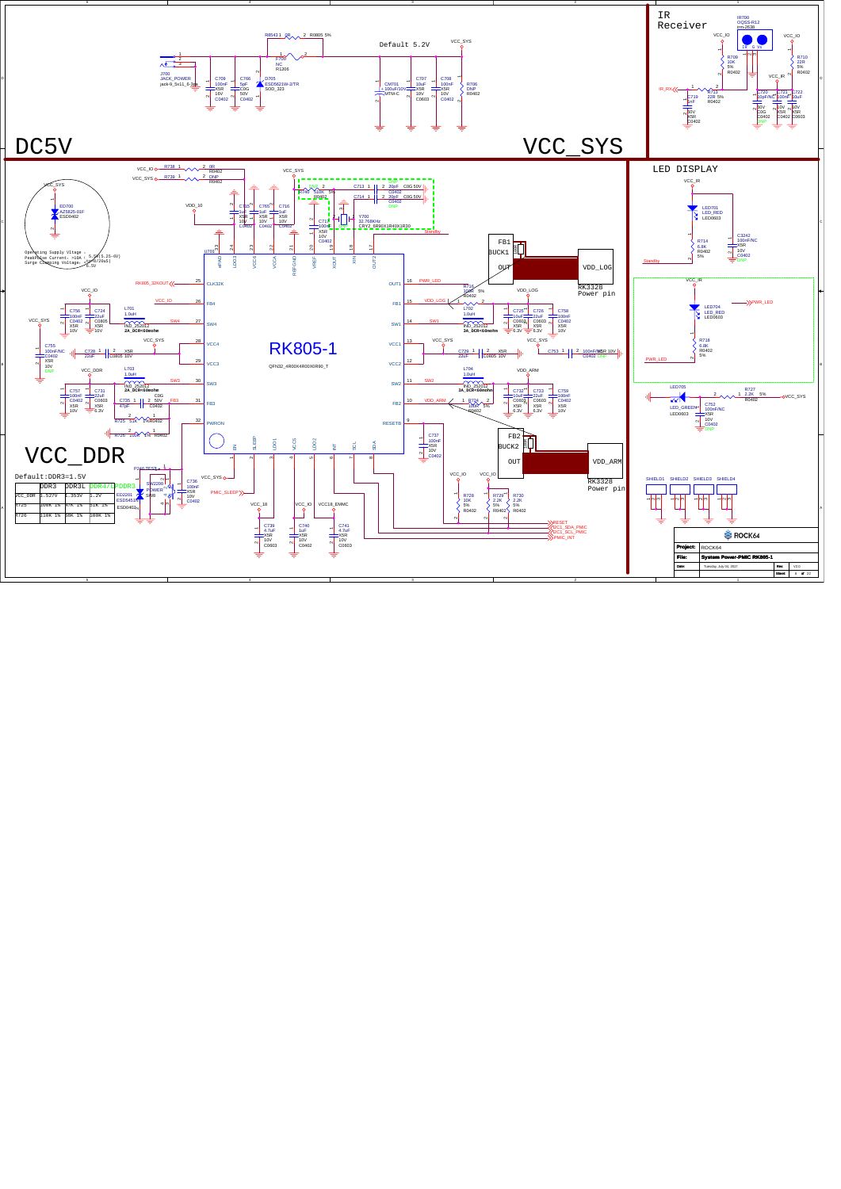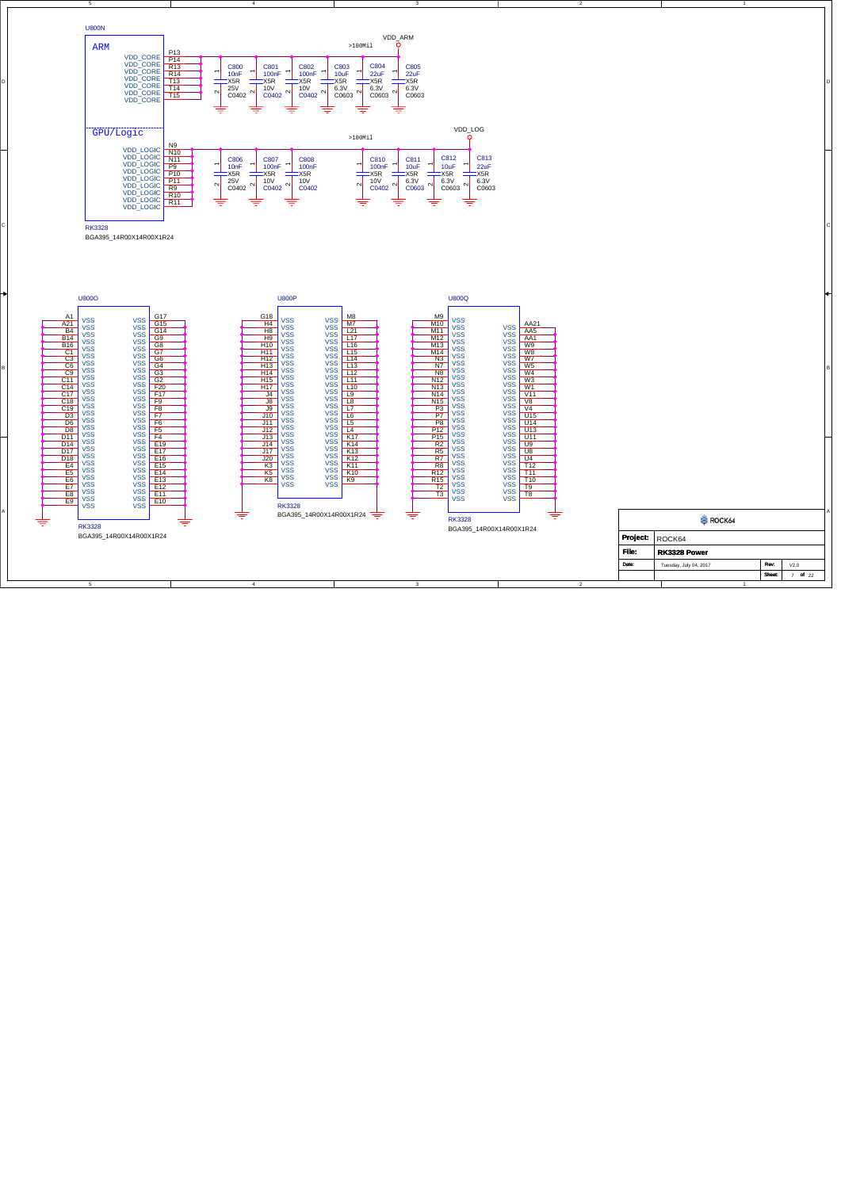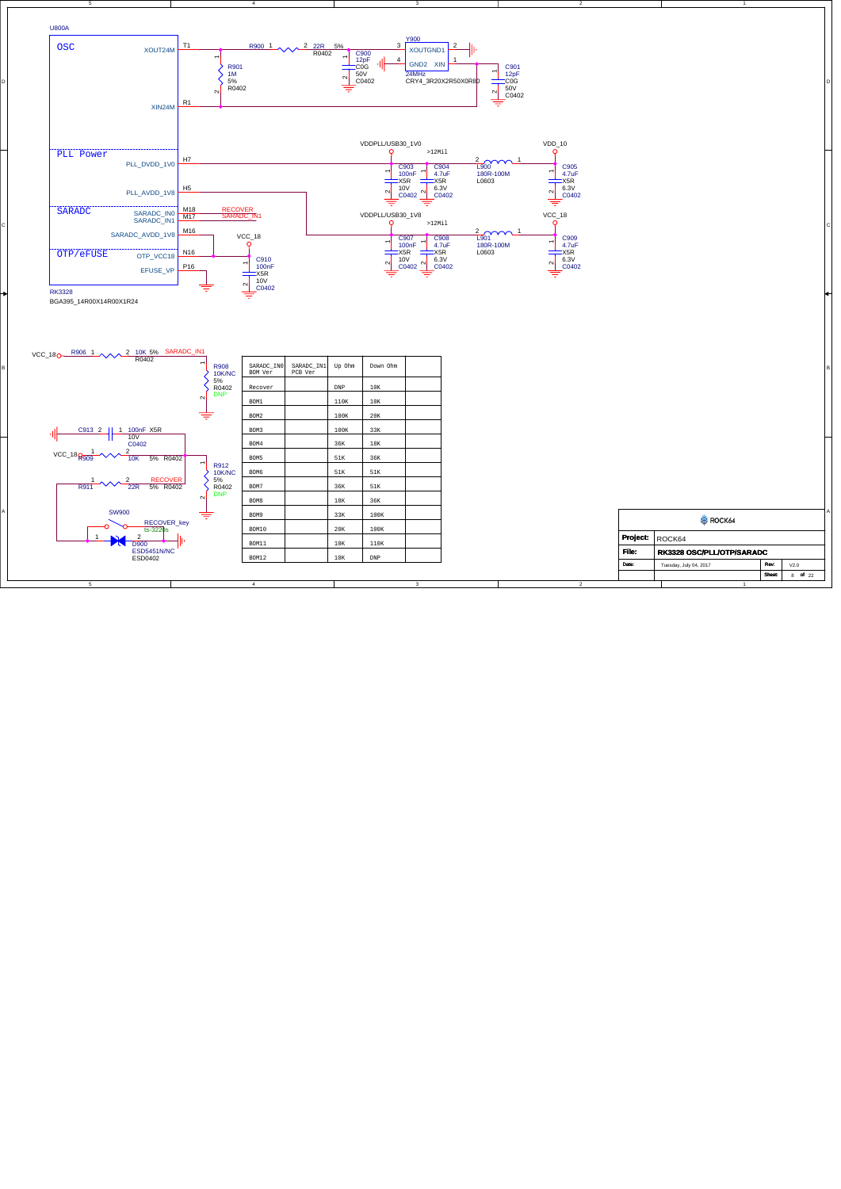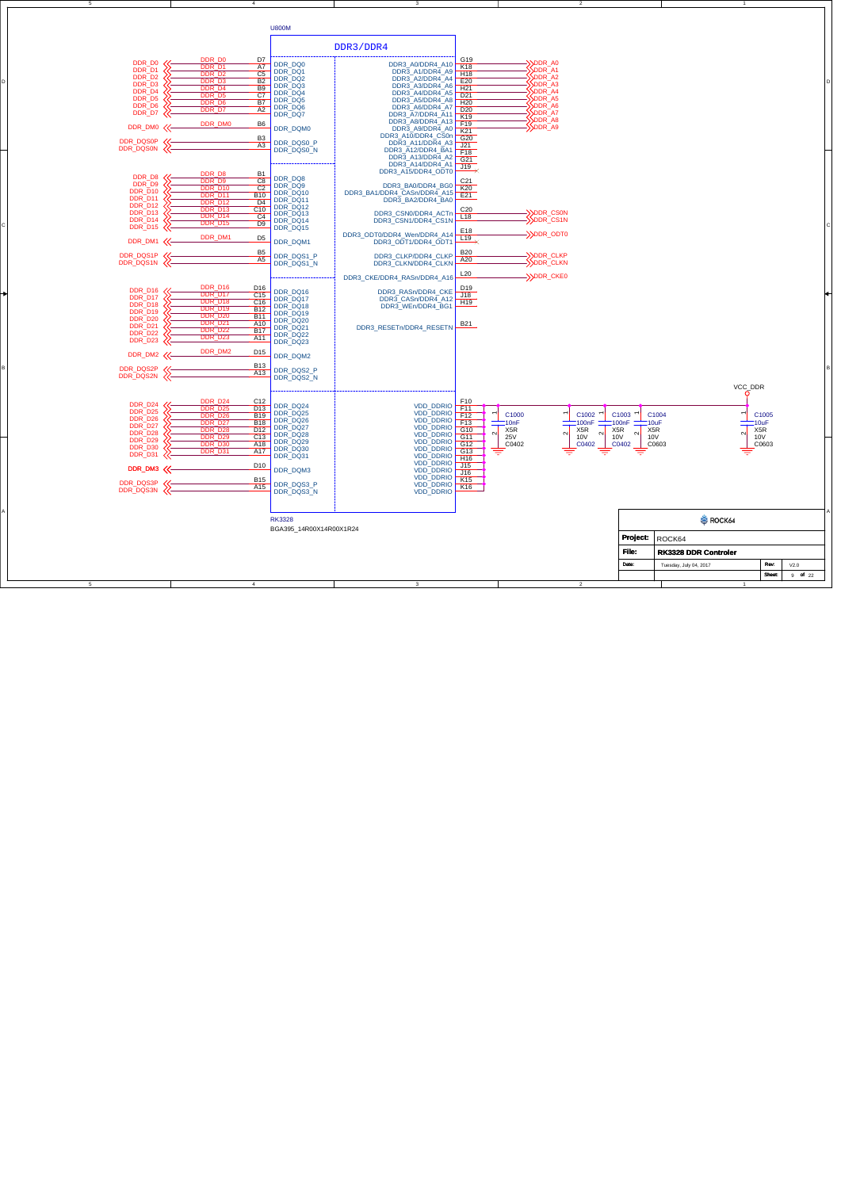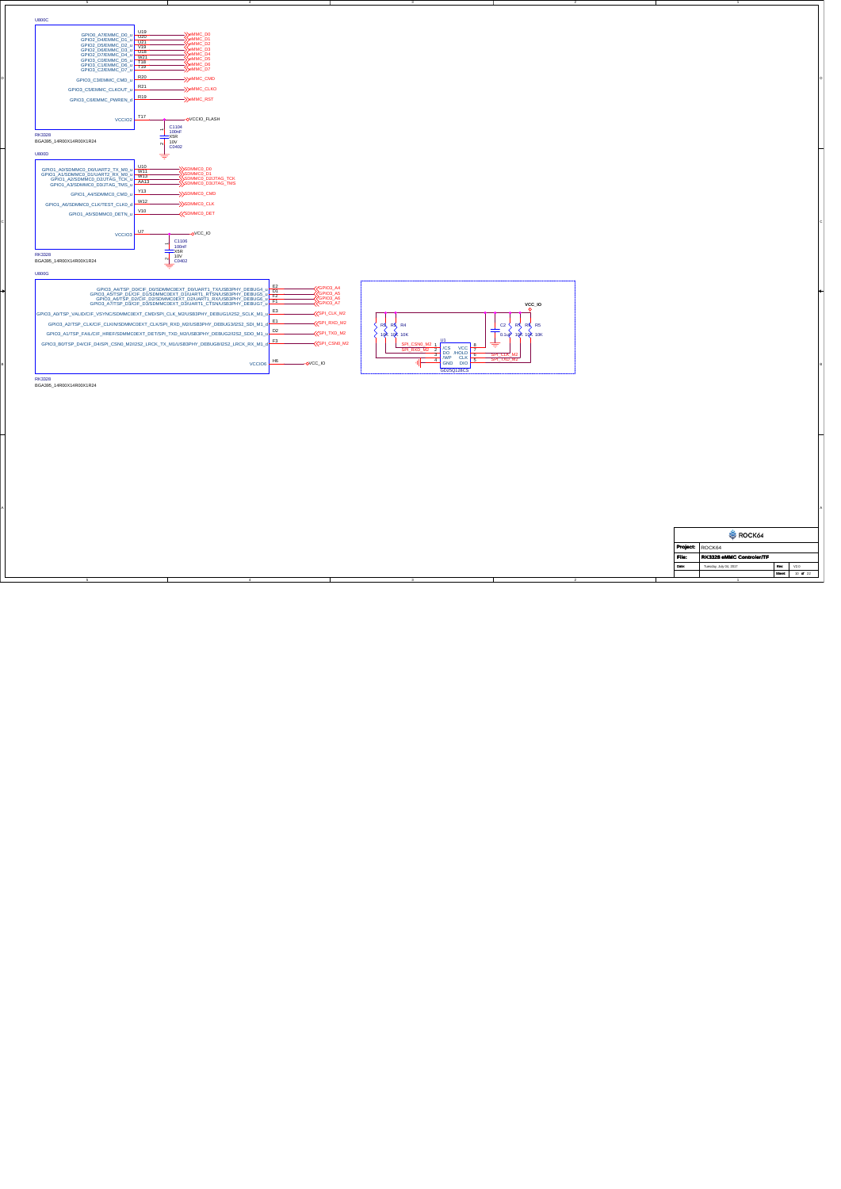| U800C                                                                                                                                                                                                                                                                                          |                                                                                                                                                                                                                                                                                                                                               |                                 |                                                                                  |                                                                     |                                                                                                                     |                                |                |                                                    |                             |  |
|------------------------------------------------------------------------------------------------------------------------------------------------------------------------------------------------------------------------------------------------------------------------------------------------|-----------------------------------------------------------------------------------------------------------------------------------------------------------------------------------------------------------------------------------------------------------------------------------------------------------------------------------------------|---------------------------------|----------------------------------------------------------------------------------|---------------------------------------------------------------------|---------------------------------------------------------------------------------------------------------------------|--------------------------------|----------------|----------------------------------------------------|-----------------------------|--|
| GPIO0_A7/EMMC_D0_u<br>GPIO2_D4/EMMC_D1_u U20<br>GPIO2_D5/EMMC_D2_u V19<br>GPIO2_D6/EMMC_D3_u U18<br>GPIO2_D7/FMMC_D4_u U18<br>GPIO2_D6/EMMC_D3_0<br>GPIO2_D7/EMMC_D4_0<br>GPIO3_C0/EMMC_D5_0<br>GPIO3_C1/EMMC_D6_0<br>GPIO3_C1/EMMC_D6_0<br>CO/EMMC_D7_0<br>CO/EMMC_D7_0<br>GPIO3_C2/EMMC_D7_u | ><br>>eMMC_D0<br>>eMMC_D1<br>>eMMC_D2<br>eMMC_D3<br>Semme D4<br>Semme D5<br>Semme D6<br>SeMMC_D7                                                                                                                                                                                                                                              |                                 |                                                                                  |                                                                     |                                                                                                                     |                                |                |                                                    |                             |  |
| GPIO3_C3/EMMC_CMD_u                                                                                                                                                                                                                                                                            | R20<br>->>eMMC_CMD<br>R21                                                                                                                                                                                                                                                                                                                     |                                 |                                                                                  |                                                                     |                                                                                                                     |                                |                |                                                    |                             |  |
| GPIO3_C5/EMMC_CLKOUT_u<br>GPIO3_C6/EMMC_PWREN_d<br>VCCIO2                                                                                                                                                                                                                                      | -Semmc_clko<br>R <sub>19</sub><br>->>emmc_rst<br>T17<br>-OVCCIO_FLASH                                                                                                                                                                                                                                                                         |                                 |                                                                                  |                                                                     |                                                                                                                     |                                |                |                                                    |                             |  |
| <b>RK3328</b><br>BGA395_14R00X14R00X1R24                                                                                                                                                                                                                                                       | C1104<br>100nF<br>$X5R$<br>10V<br>$\sim$<br>C0402                                                                                                                                                                                                                                                                                             |                                 |                                                                                  |                                                                     |                                                                                                                     |                                |                |                                                    |                             |  |
| U800D<br>GPIO1_A0/SDMMC0_D0/UART2_TX_M0_u<br>GPIO1_A1/SDMMC0_D1/UART2_RX_M0_u<br>GPIO1_A1/SDMMC0_D1/UART2_RX_M0_u<br>GPIO1_A2/SDMMC0_D2/JTAG_TCK_u AA13<br>GPIO1_A3/SDMMC0_D3/JTAG_TMS_L<br>GPIO1_A4/SDMMC0_CMD_u                                                                              | ≑<br>$\frac{010}{W11}$<br>—XSDMMCO_DO<br>—XSDMMCO_D1<br>—XSDMMCO_D2/JTAG_TCK<br>—XSDMMCO_D3/JTAG_TMS<br>Y13<br>->>SDMMC0_CMD                                                                                                                                                                                                                  |                                 |                                                                                  |                                                                     |                                                                                                                     |                                |                |                                                    |                             |  |
| GPIO1_A6/SDMMC0_CLK/TEST_CLK0_d<br>GPIO1_A5/SDMMC0_DETN_u                                                                                                                                                                                                                                      | W12<br>->>SDMMC0_CLK<br>V10<br><b>KSDMMCO_DET</b>                                                                                                                                                                                                                                                                                             |                                 |                                                                                  |                                                                     |                                                                                                                     |                                |                |                                                    |                             |  |
| VCCIO <sub>3</sub>                                                                                                                                                                                                                                                                             | U7<br>$-$ OVCC_IO<br>C1106<br>$\frac{100nF}{S}}$                                                                                                                                                                                                                                                                                              |                                 |                                                                                  |                                                                     |                                                                                                                     |                                |                |                                                    |                             |  |
| <b>RK3328</b><br>BGA395_14R00X14R00X1R24<br><b>U800G</b>                                                                                                                                                                                                                                       | 10V<br>$\frac{N}{\frac{N}{\sqrt{N}}}$                                                                                                                                                                                                                                                                                                         |                                 |                                                                                  |                                                                     |                                                                                                                     |                                |                |                                                    |                             |  |
|                                                                                                                                                                                                                                                                                                | GPIO3_A4TSP_D0iCIF_D0iSDMMC0EXT_D0IUART1_TXUSB3PHY_DEBUG4_u<br>GPIO3_A5TSP_D1/CIF_D1/SDMMC0EXT_D1/UART1_RTSNUSB3PHY_DEBUG5_u E2<br>GPIO3_A5TSP_D2ICIF_D2JSDMMC0EXT_D1/UART1_RTSNUSB3PHY_DEBUG5_u E2<br>CPIO3_A3TGP_D-DICIF_DQUARMAGELEX<br>GPIO3_A7/TSP_D3/CIF_D3/SDMMC0EXT_D3/UART1_CTSN/USB3PHY_DEBUG7_                                     |                                 | KGPIO3_A4<br>GPIO3_A6<br>GPIO3_A7                                                |                                                                     |                                                                                                                     | VCC_IO                         |                |                                                    |                             |  |
|                                                                                                                                                                                                                                                                                                | GPIO3_A0/TSP_VALID/CIF_VSYNC/SDMMC0EXT_CMD/SPI_CLK_M2/USB3PHY_DEBUG1/I2S2_SCLK_M1_<br>GPIO3_A2/TSP_CLK/CIF_CLKIN/SDMMC0EXT_CLK/SPI_RXD_M2/USB3PHY_DEBUG3/I2S2_SDI_M1_<br>GPIO3_A1/TSP_FAIL/CIF_HREF/SDMMC0EXT_DET/SPI_TXD_M2/USB3PHY_DEBUG2/I2S2_SDO_M1<br>GPIO3_B0/TSP_D4/CIF_D4/SPI_CSN0_M2/I2S2_LRCK_TX_M1/USB3PHY_DEBUG8/I2S2_LRCK_RX_M1_ | E3<br>E1<br>$\mathsf{D}2$<br>F3 | <b>EXAMPLE CLK_M2</b><br>SPI_RXD_M2<br><b>KSPI_TXD_M2</b><br><b>KSPI_CSNO_M2</b> | $R_{\text{max}}$ $R_{\text{max}}$ $R_{\text{max}}$ $R_{\text{max}}$ | $\mathbb{C}2$<br>≑                                                                                                  | KRK RK RS<br>0.1up 10R 10R 10K |                |                                                    |                             |  |
|                                                                                                                                                                                                                                                                                                |                                                                                                                                                                                                                                                                                                                                               | H6<br>VCCIO6                    | $OVCC$ <sub>-IO</sub>                                                            |                                                                     | $\frac{\frac{\text{SPLCSNO\_M2 1}}{\text{SPLRNA}} \frac{1}{2}}{\text{NLP}}}{\text{NLP}}$<br>SPI TXD M<br>GD25Q128CS |                                |                |                                                    |                             |  |
| <b>RK3328</b><br>BGA395_14R00X14R00X1R24                                                                                                                                                                                                                                                       |                                                                                                                                                                                                                                                                                                                                               |                                 |                                                                                  |                                                                     |                                                                                                                     |                                |                |                                                    |                             |  |
|                                                                                                                                                                                                                                                                                                |                                                                                                                                                                                                                                                                                                                                               |                                 |                                                                                  |                                                                     |                                                                                                                     |                                |                |                                                    |                             |  |
|                                                                                                                                                                                                                                                                                                |                                                                                                                                                                                                                                                                                                                                               |                                 |                                                                                  |                                                                     |                                                                                                                     |                                |                |                                                    |                             |  |
|                                                                                                                                                                                                                                                                                                |                                                                                                                                                                                                                                                                                                                                               |                                 |                                                                                  |                                                                     |                                                                                                                     |                                |                |                                                    |                             |  |
|                                                                                                                                                                                                                                                                                                |                                                                                                                                                                                                                                                                                                                                               |                                 |                                                                                  |                                                                     |                                                                                                                     |                                |                |                                                    |                             |  |
|                                                                                                                                                                                                                                                                                                |                                                                                                                                                                                                                                                                                                                                               |                                 |                                                                                  |                                                                     |                                                                                                                     |                                |                | ROCK64                                             |                             |  |
|                                                                                                                                                                                                                                                                                                |                                                                                                                                                                                                                                                                                                                                               |                                 |                                                                                  |                                                                     |                                                                                                                     |                                | Project:       | ROCK64                                             |                             |  |
|                                                                                                                                                                                                                                                                                                |                                                                                                                                                                                                                                                                                                                                               |                                 |                                                                                  |                                                                     |                                                                                                                     |                                | File:<br>Date: | RK3328 eMMC Controler/TF<br>Tuesday, July 04, 2017 | Rev:<br>V2.0                |  |
|                                                                                                                                                                                                                                                                                                |                                                                                                                                                                                                                                                                                                                                               |                                 |                                                                                  |                                                                     |                                                                                                                     |                                |                |                                                    | 10 of $22$<br><b>Short:</b> |  |

5

4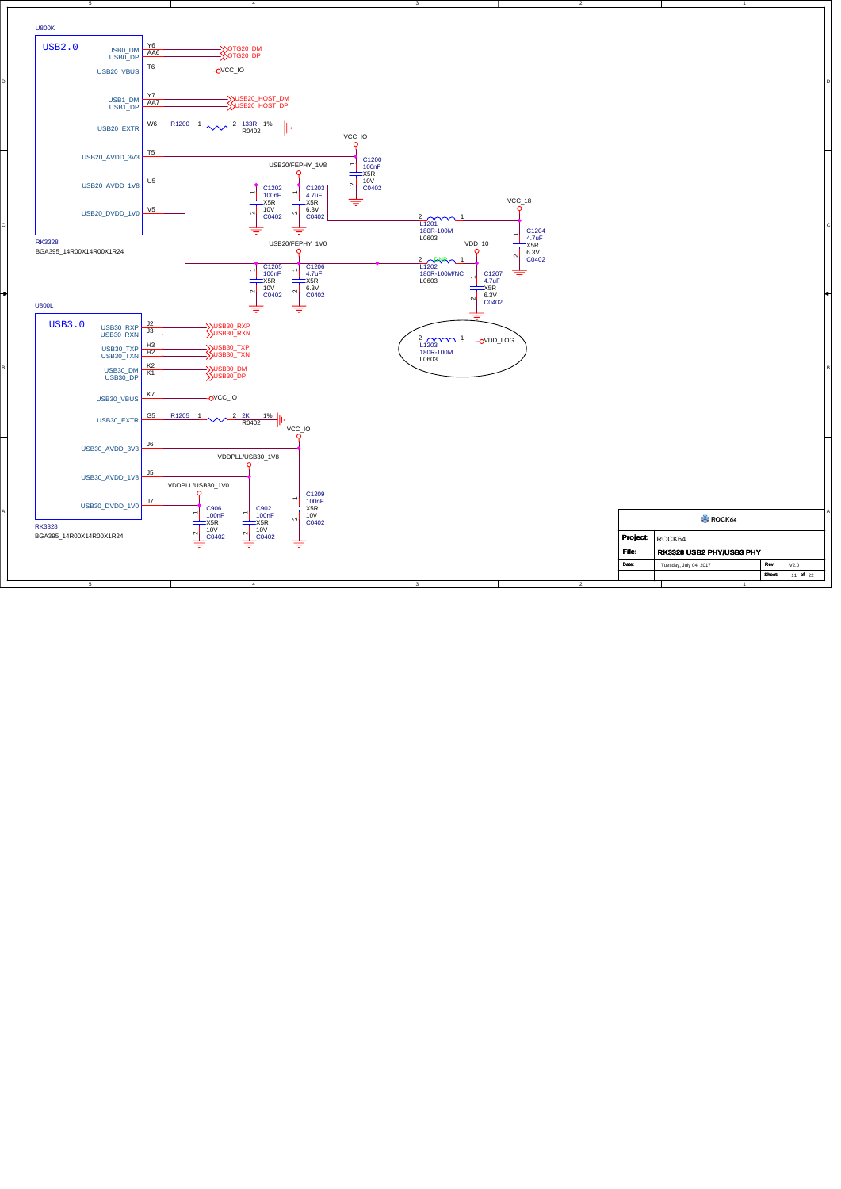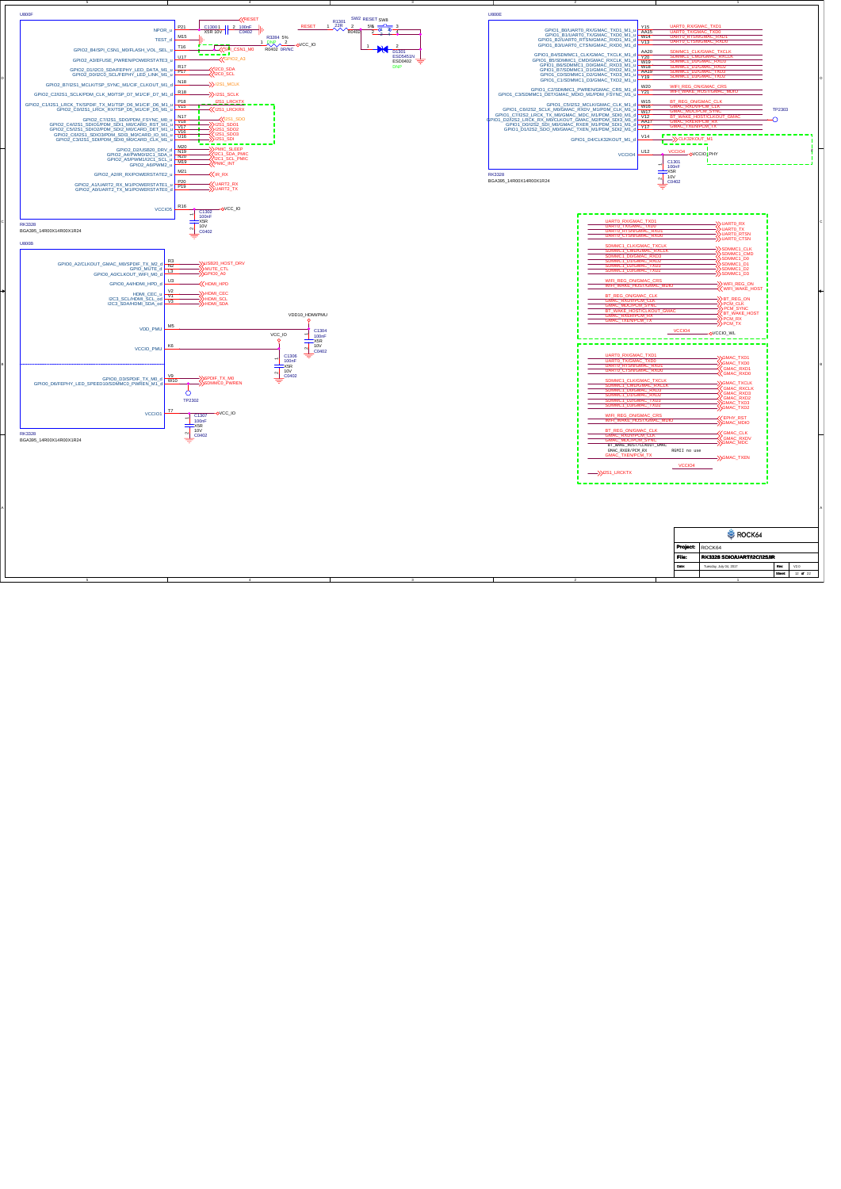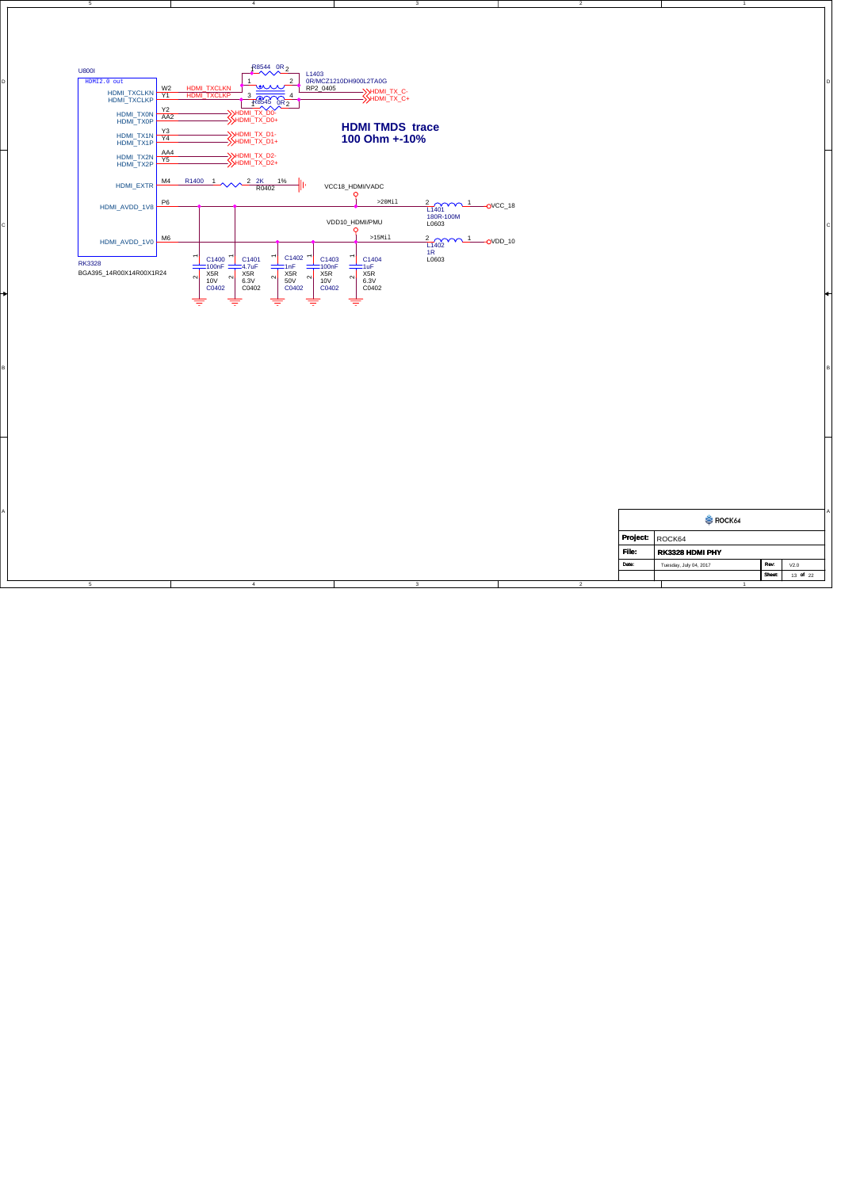

3

3

2

2

5

4

4

5

| "ile. | RK3328 HDMI PHY        |               |                  |
|-------|------------------------|---------------|------------------|
| Date: | Tuesday, July 04, 2017 | Rev:          | V2.0             |
|       |                        | <b>Sheet:</b> | 22<br>- of<br>13 |

1

1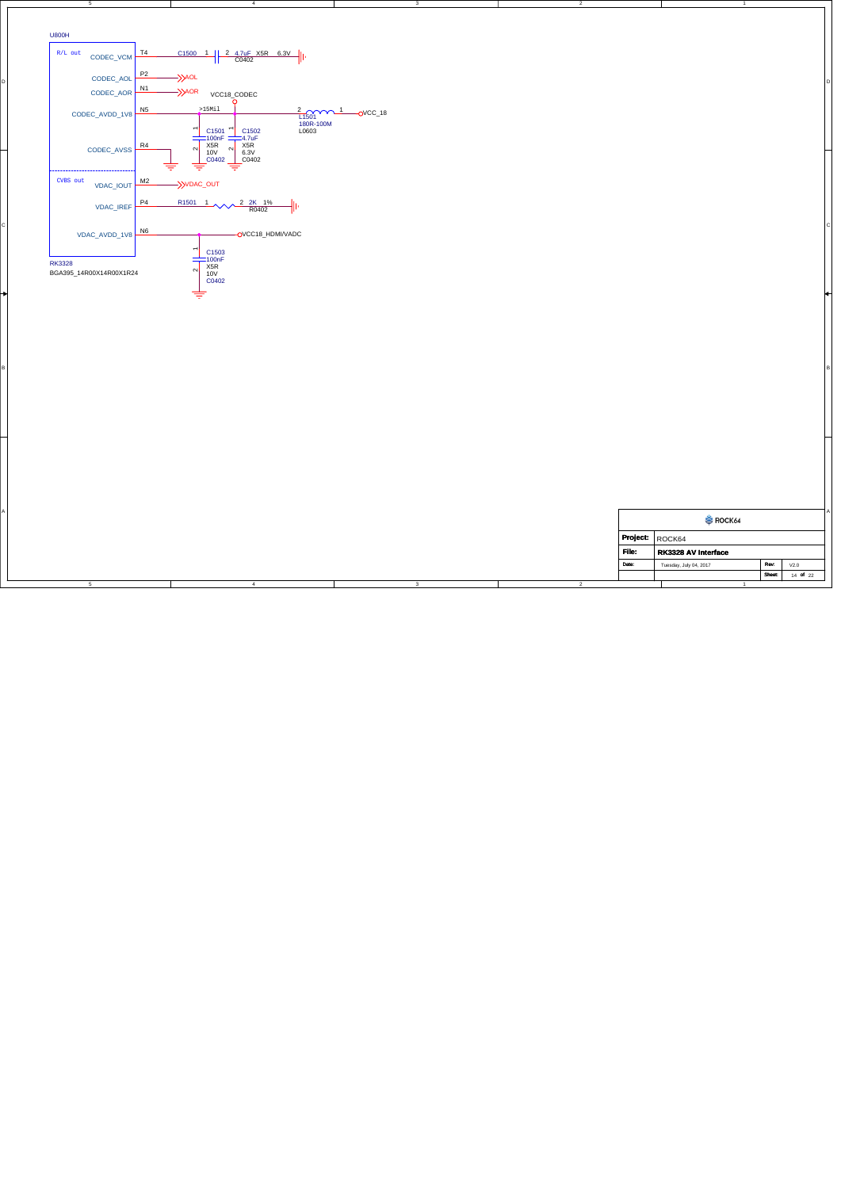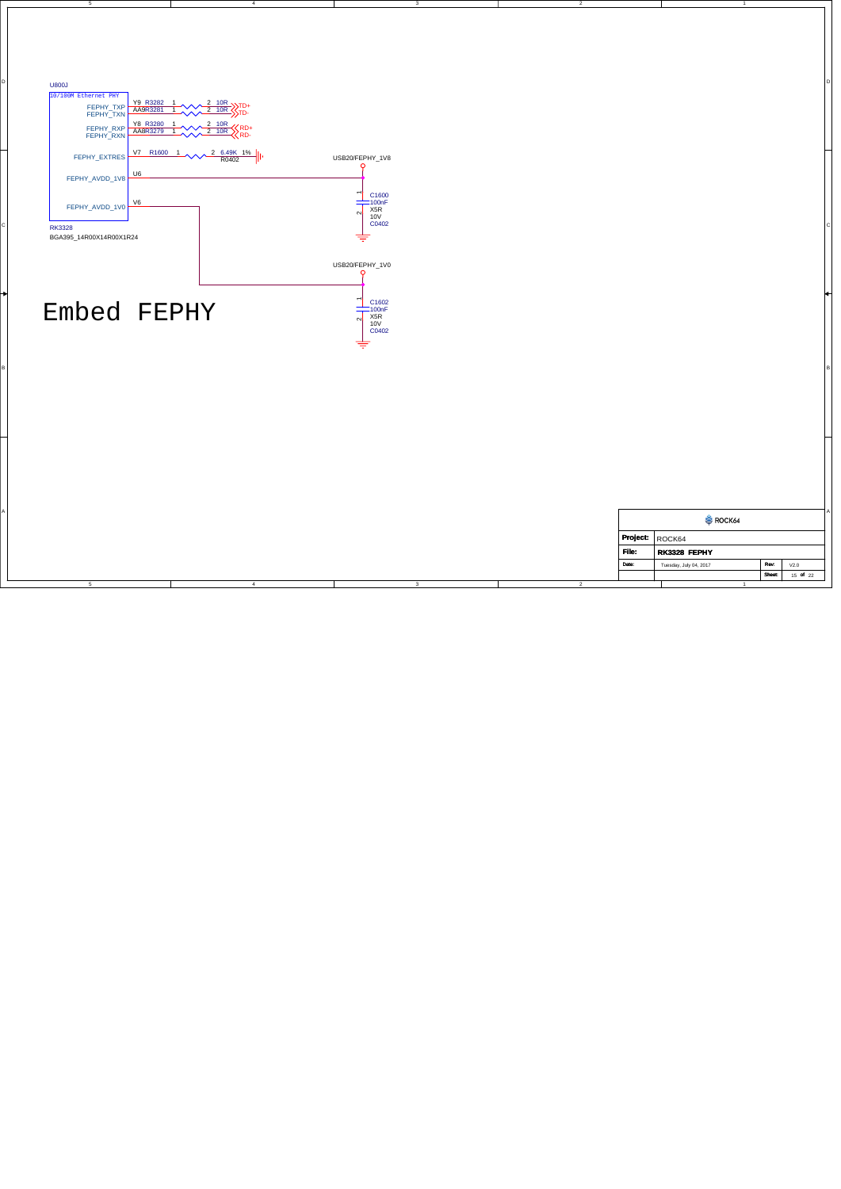

3

2

4

5

|        |                        |               |          | Α |  |
|--------|------------------------|---------------|----------|---|--|
| ROCK64 |                        |               |          |   |  |
|        | Project: ROCK64        |               |          |   |  |
| File:  | RK3328 FEPHY           |               |          |   |  |
| Date:  | Tuesday, July 04, 2017 | Rev:          | V2.0     |   |  |
|        |                        | <b>Sheet:</b> | 15 of 22 |   |  |
|        |                        |               |          |   |  |

1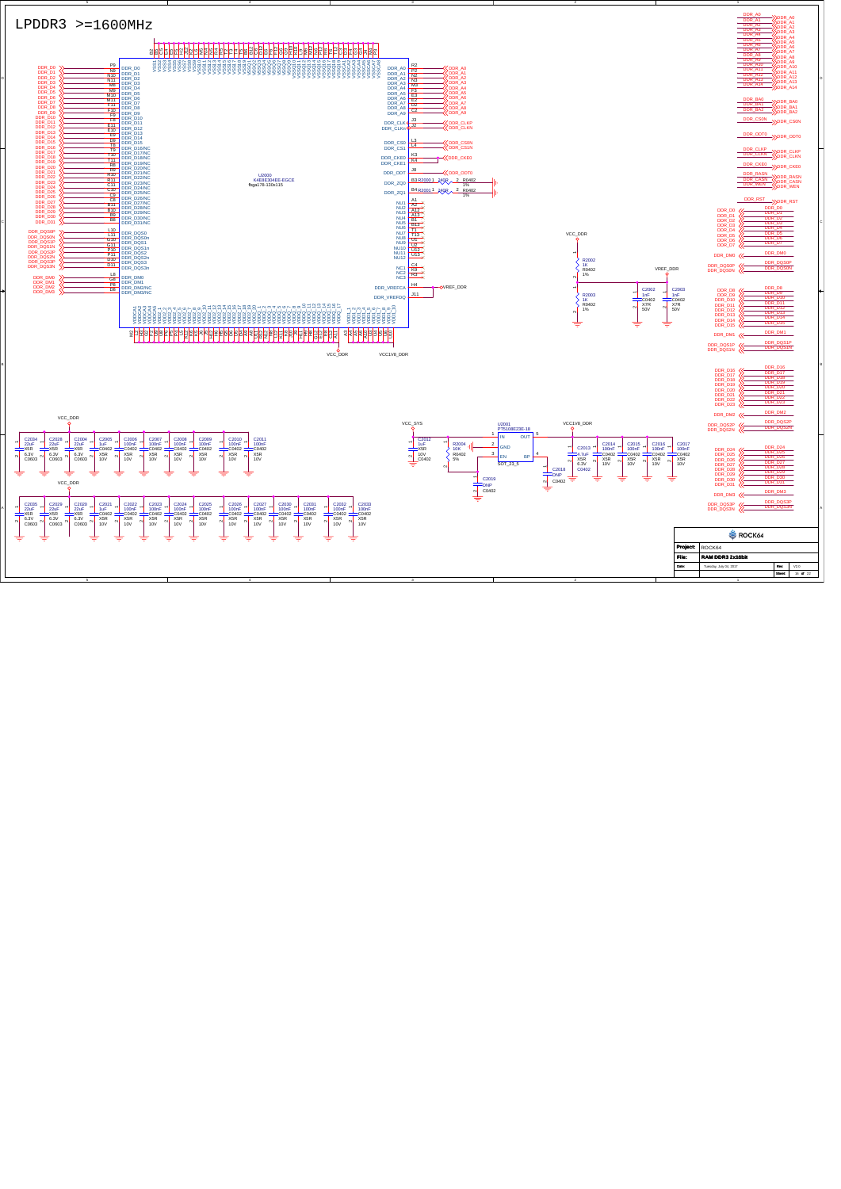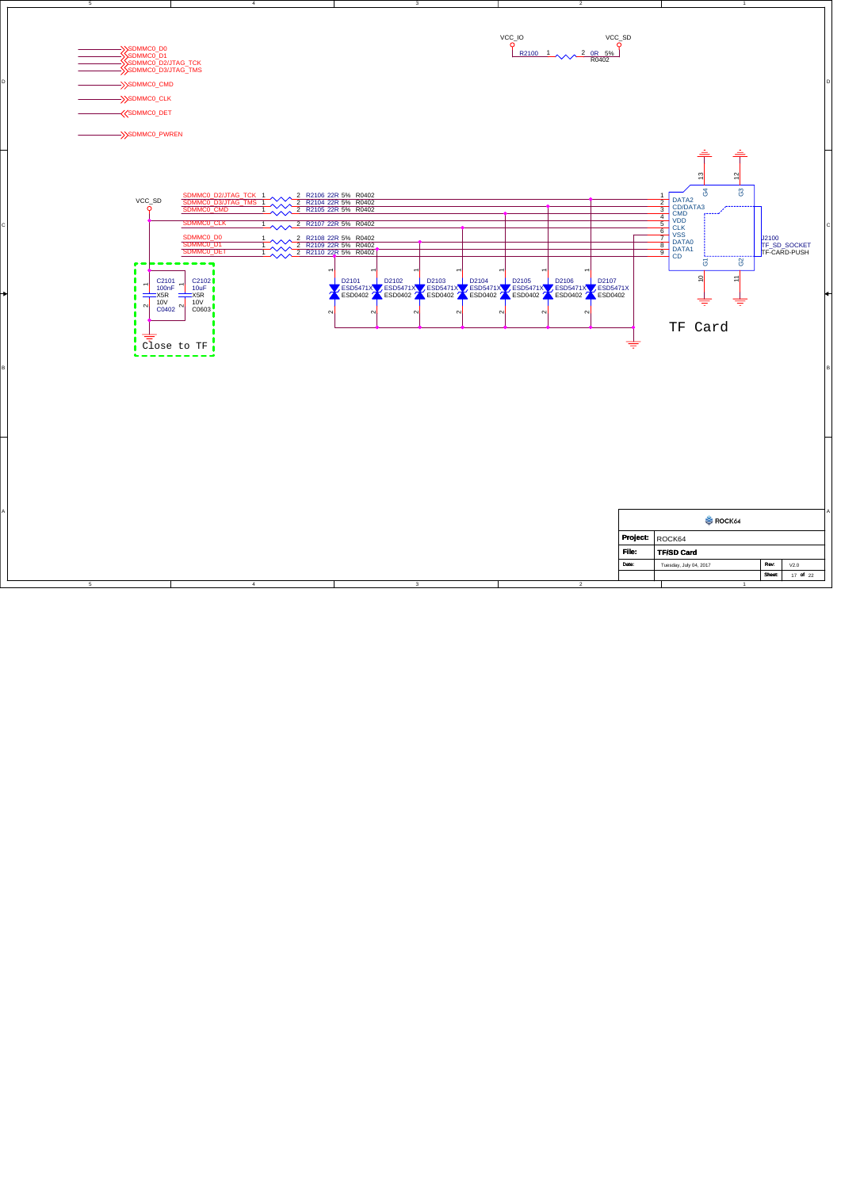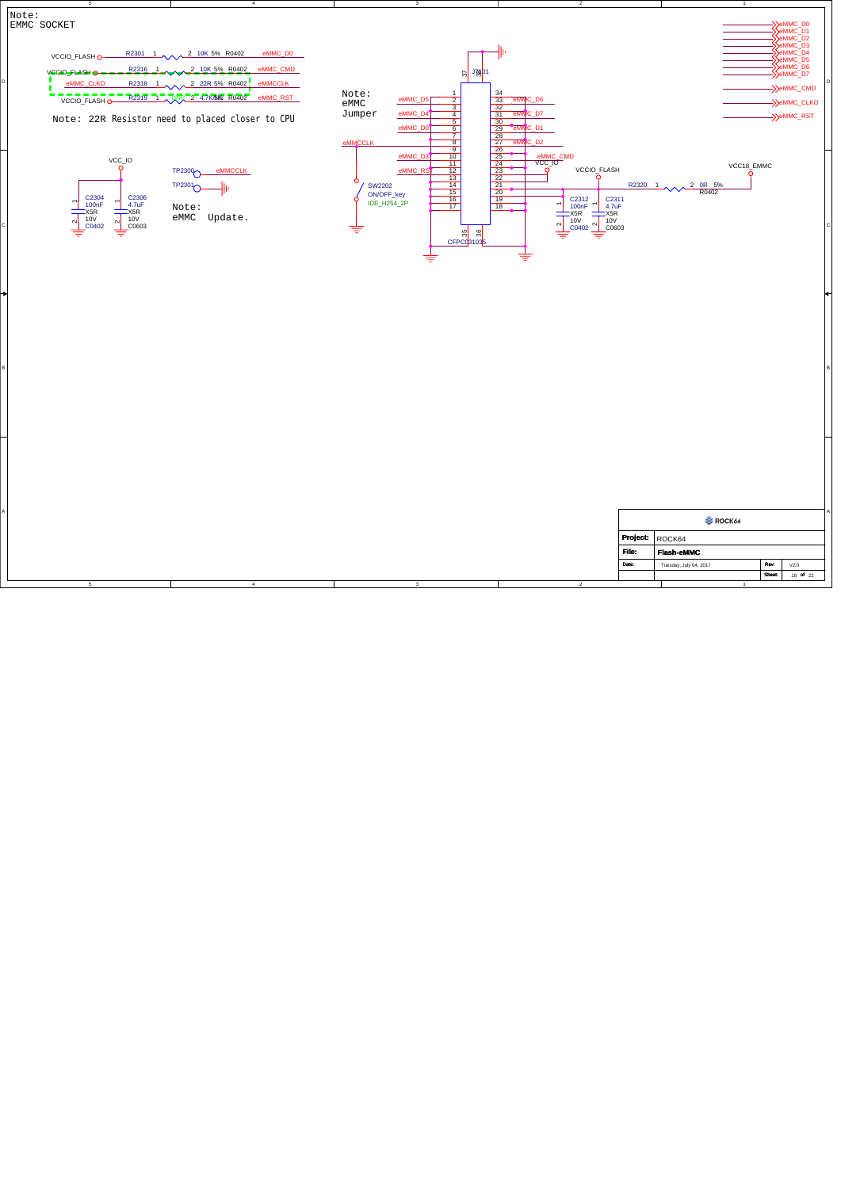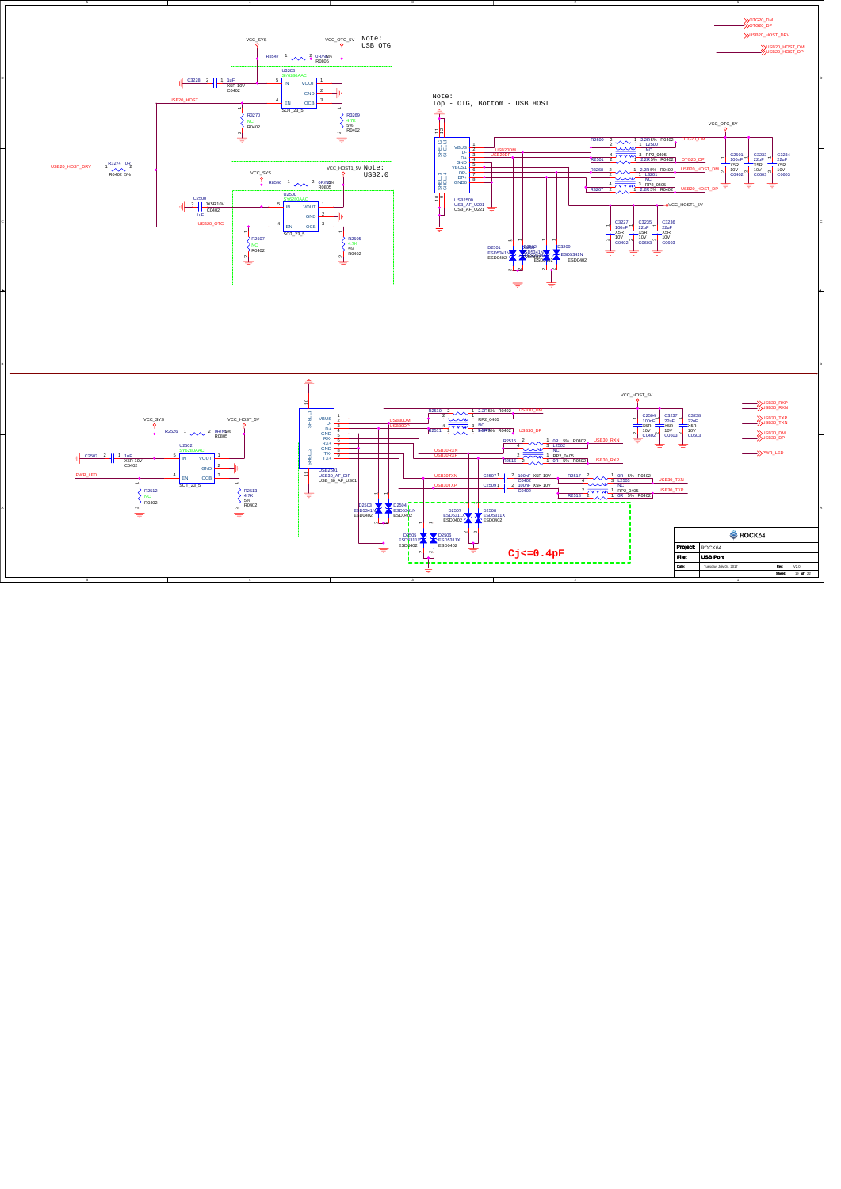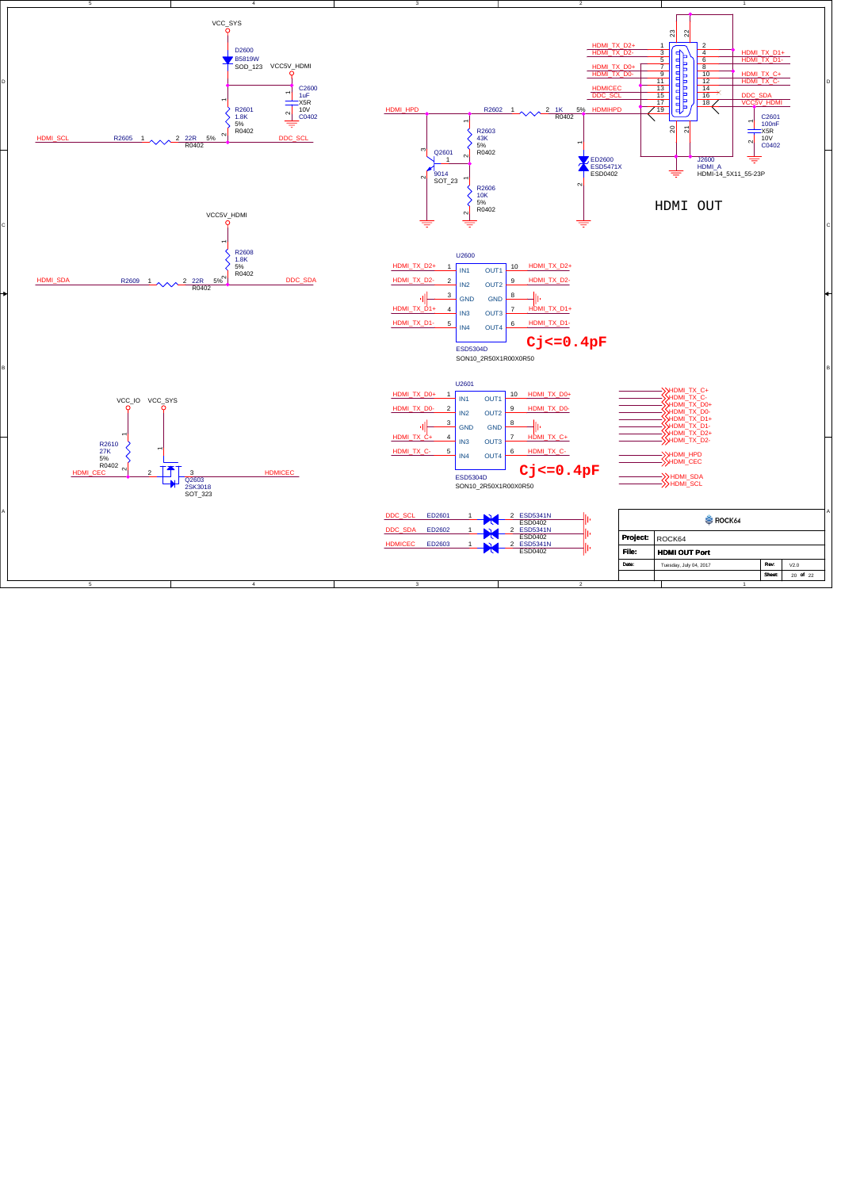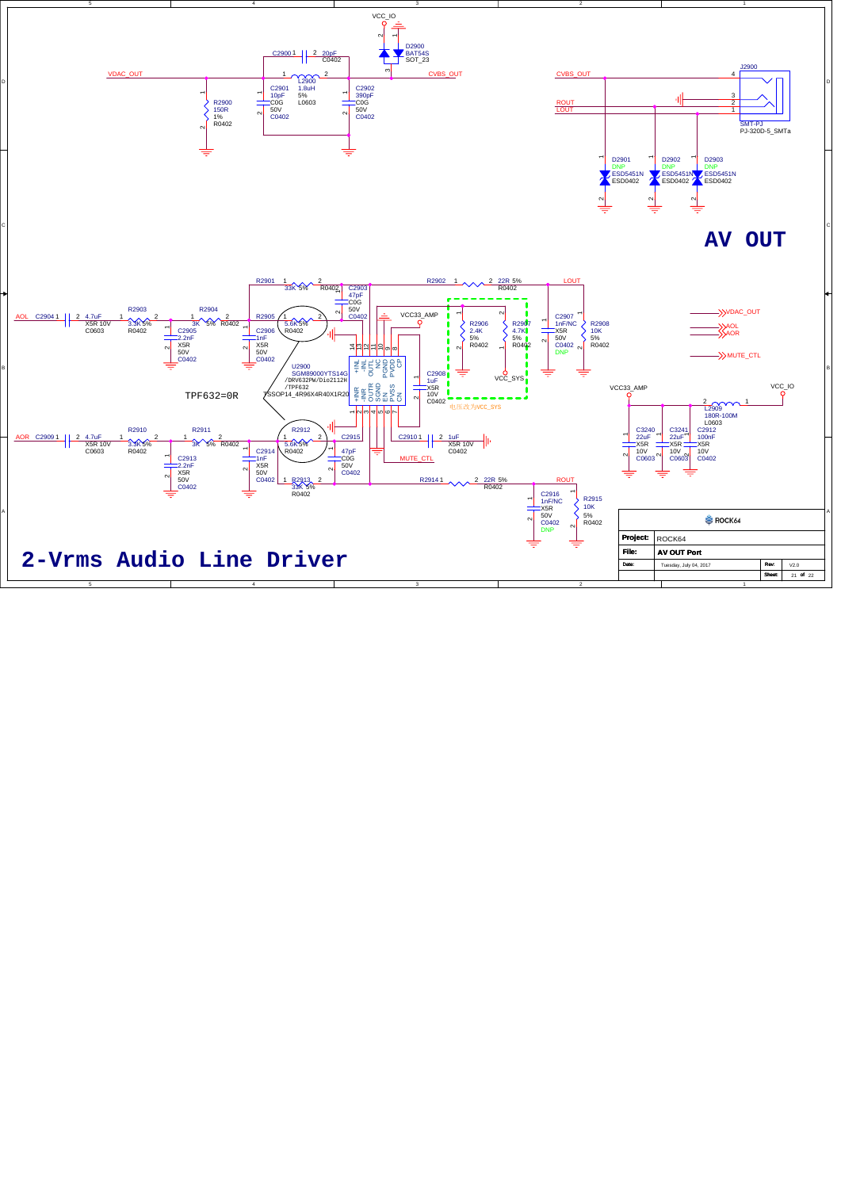